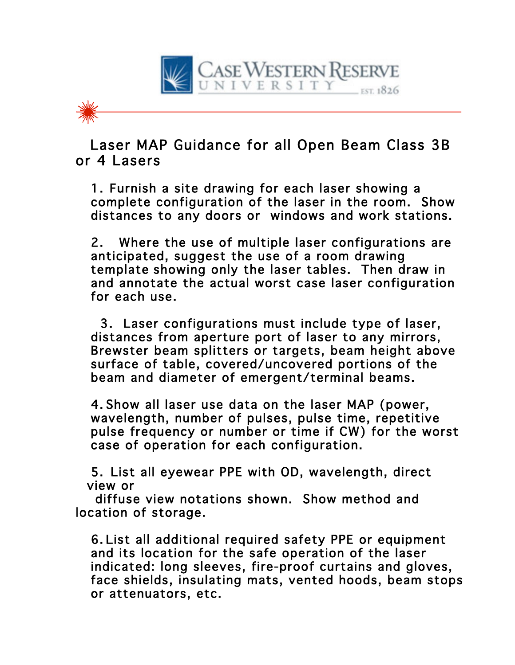

## Laser MAP Guidance for all Open Beam Class 3B or 4 Lasers

1. Furnish a site drawing for each laser showing a complete configuration of the laser in the room. Show distances to any doors or windows and work stations.

2. Where the use of multiple laser configurations are anticipated, suggest the use of a room drawing template showing only the laser tables. Then draw in and annotate the actual worst case laser configuration for each use.

3. Laser configurations must include type of laser, distances from aperture port of laser to any mirrors, Brewster beam splitters or targets, beam height above surface of table, covered/uncovered portions of the beam and diameter of emergent/terminal beams.

4. Show all laser use data on the laser MAP (power, wavelength, number of pulses, pulse time, repetitive pulse frequency or number or time if CW) for the worst case of operation for each configuration.

5. List all eyewear PPE with OD, wavelength, direct view or

 diffuse view notations shown. Show method and location of storage.

6. List all additional required safety PPE or equipment and its location for the safe operation of the laser indicated: long sleeves, fire-proof curtains and gloves, face shields, insulating mats, vented hoods, beam stops or attenuators, etc.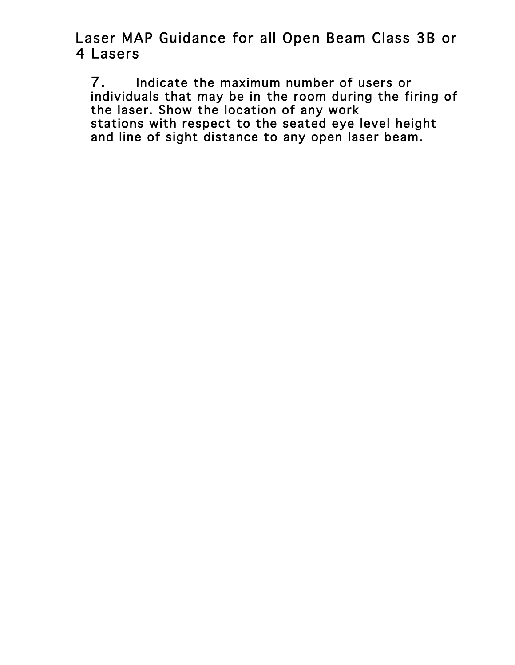Laser MAP Guidance for all Open Beam Class 3B or 4 Lasers

7. Indicate the maximum number of users or individuals that may be in the room during the firing of the laser. Show the location of any work stations with respect to the seated eye level height and line of sight distance to any open laser beam.